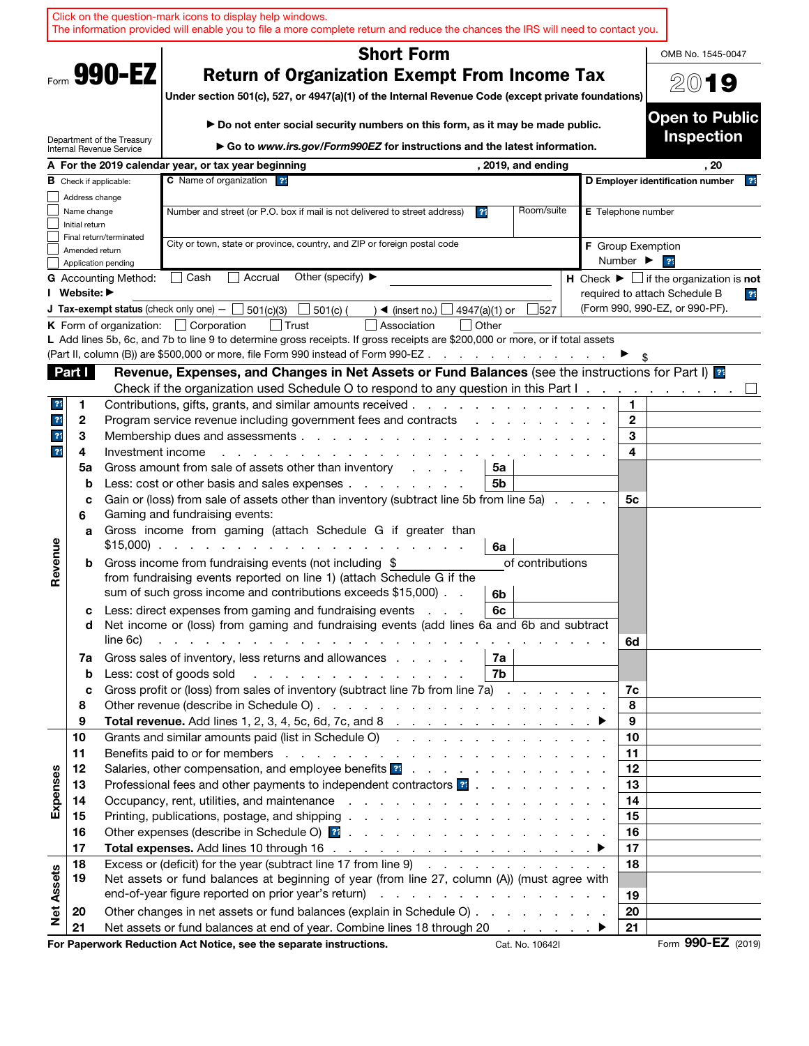|                                  |                                                                                                                                                                        | Click on the question-mark icons to display help windows.<br>The information provided will enable you to file a more complete return and reduce the chances the IRS will need to contact you.                                                                                                 |                                                               |
|----------------------------------|------------------------------------------------------------------------------------------------------------------------------------------------------------------------|-----------------------------------------------------------------------------------------------------------------------------------------------------------------------------------------------------------------------------------------------------------------------------------------------|---------------------------------------------------------------|
|                                  |                                                                                                                                                                        | <b>Short Form</b>                                                                                                                                                                                                                                                                             | OMB No. 1545-0047                                             |
| Form 990-EZ                      | <b>Return of Organization Exempt From Income Tax</b><br>20<br>19<br>Under section 501(c), 527, or 4947(a)(1) of the Internal Revenue Code (except private foundations) |                                                                                                                                                                                                                                                                                               |                                                               |
|                                  | Department of the Treasury                                                                                                                                             | ► Do not enter social security numbers on this form, as it may be made public.                                                                                                                                                                                                                | <b>Open to Public</b><br><b>Inspection</b>                    |
|                                  | Internal Revenue Service                                                                                                                                               | Go to www.irs.gov/Form990EZ for instructions and the latest information.                                                                                                                                                                                                                      |                                                               |
|                                  |                                                                                                                                                                        | A For the 2019 calendar year, or tax year beginning<br>, 2019, and ending                                                                                                                                                                                                                     | . 20                                                          |
|                                  | <b>B</b> Check if applicable:                                                                                                                                          | C Name of organization ?                                                                                                                                                                                                                                                                      | D Employer identification number<br>$\overline{2}$            |
|                                  | Address change<br>Name change                                                                                                                                          | Room/suite<br>Number and street (or P.O. box if mail is not delivered to street address)<br>3 <sup>4</sup>                                                                                                                                                                                    | E Telephone number                                            |
|                                  | Initial return                                                                                                                                                         |                                                                                                                                                                                                                                                                                               |                                                               |
|                                  | Final return/terminated                                                                                                                                                | City or town, state or province, country, and ZIP or foreign postal code                                                                                                                                                                                                                      | <b>F</b> Group Exemption                                      |
|                                  | Amended return<br>Application pending                                                                                                                                  |                                                                                                                                                                                                                                                                                               | Number ▶<br>21                                                |
|                                  | <b>G</b> Accounting Method:                                                                                                                                            | Other (specify) $\blacktriangleright$<br>│ Cash<br>  Accrual                                                                                                                                                                                                                                  | H Check $\blacktriangleright \Box$ if the organization is not |
|                                  | I Website: ▶                                                                                                                                                           |                                                                                                                                                                                                                                                                                               | required to attach Schedule B<br>23                           |
|                                  |                                                                                                                                                                        | <b>J Tax-exempt status</b> (check only one) $-$ 501(c)(3)<br>$501(c)$ (<br>527<br>$\rightarrow$ (insert no.)<br>4947(a)(1) or<br>$\mathbf{I}$                                                                                                                                                 | (Form 990, 990-EZ, or 990-PF).                                |
|                                  |                                                                                                                                                                        | <b>K</b> Form of organization: $\Box$ Corporation<br>Association<br>  Other<br>l Trust                                                                                                                                                                                                        |                                                               |
|                                  |                                                                                                                                                                        | L Add lines 5b, 6c, and 7b to line 9 to determine gross receipts. If gross receipts are \$200,000 or more, or if total assets                                                                                                                                                                 |                                                               |
|                                  |                                                                                                                                                                        | (Part II, column (B)) are \$500,000 or more, file Form 990 instead of Form 990-EZ                                                                                                                                                                                                             |                                                               |
| Part I                           |                                                                                                                                                                        | Revenue, Expenses, and Changes in Net Assets or Fund Balances (see the instructions for Part I) as                                                                                                                                                                                            |                                                               |
|                                  |                                                                                                                                                                        | Check if the organization used Schedule O to respond to any question in this Part I.                                                                                                                                                                                                          |                                                               |
| $\overline{?}$                   | 1                                                                                                                                                                      | Contributions, gifts, grants, and similar amounts received.<br>the property of the control of the control of the control of the control of the control of the control of the control of the control of the control of the control of the control of the control of the control of the control | 1.                                                            |
| $\overline{?}$<br>$\overline{?}$ | $\mathbf{2}$                                                                                                                                                           | Program service revenue including government fees and contracts                                                                                                                                                                                                                               | $\mathbf{2}$<br>3                                             |
|                                  | 3<br>Investment income                                                                                                                                                 |                                                                                                                                                                                                                                                                                               | 4                                                             |
| $\overline{?}$                   | 4<br>5a                                                                                                                                                                | Gross amount from sale of assets other than inventory<br>5a                                                                                                                                                                                                                                   |                                                               |
|                                  | $\mathbf b$                                                                                                                                                            | 5b<br>Less: cost or other basis and sales expenses                                                                                                                                                                                                                                            |                                                               |
|                                  | c                                                                                                                                                                      | Gain or (loss) from sale of assets other than inventory (subtract line 5b from line 5a)                                                                                                                                                                                                       | 5с                                                            |
|                                  | 6                                                                                                                                                                      | Gaming and fundraising events:                                                                                                                                                                                                                                                                |                                                               |
|                                  | a                                                                                                                                                                      | Gross income from gaming (attach Schedule G if greater than                                                                                                                                                                                                                                   |                                                               |
|                                  |                                                                                                                                                                        | $$15,000$<br>6a                                                                                                                                                                                                                                                                               |                                                               |
| Revenue                          | b                                                                                                                                                                      | Gross income from fundraising events (not including \$<br>of contributions                                                                                                                                                                                                                    |                                                               |
|                                  |                                                                                                                                                                        | from fundraising events reported on line 1) (attach Schedule G if the                                                                                                                                                                                                                         |                                                               |
|                                  |                                                                                                                                                                        | sum of such gross income and contributions exceeds \$15,000).<br>6b                                                                                                                                                                                                                           |                                                               |
|                                  | c                                                                                                                                                                      | Less: direct expenses from gaming and fundraising events<br>6с                                                                                                                                                                                                                                |                                                               |
|                                  | d                                                                                                                                                                      | Net income or (loss) from gaming and fundraising events (add lines 6a and 6b and subtract                                                                                                                                                                                                     |                                                               |
|                                  | line 6c)                                                                                                                                                               | and a constitution of the constitution of the constitution of the constitution of the constitution of the constitution of the constitution of the constitution of the constitution of the constitution of the constitution of                                                                 | 6d                                                            |
|                                  | 7a                                                                                                                                                                     | Gross sales of inventory, less returns and allowances<br>7a<br>7b<br>and the company of the company of the company of                                                                                                                                                                         |                                                               |
|                                  | b<br>c                                                                                                                                                                 | Less: cost of goods sold<br>Gross profit or (loss) from sales of inventory (subtract line 7b from line 7a)                                                                                                                                                                                    | 7c                                                            |
|                                  | 8                                                                                                                                                                      |                                                                                                                                                                                                                                                                                               | 8                                                             |
|                                  | 9                                                                                                                                                                      |                                                                                                                                                                                                                                                                                               | 9                                                             |
| 10                               |                                                                                                                                                                        | Grants and similar amounts paid (list in Schedule O)                                                                                                                                                                                                                                          | 10                                                            |
| 11                               |                                                                                                                                                                        |                                                                                                                                                                                                                                                                                               | 11                                                            |
| 12                               |                                                                                                                                                                        | Salaries, other compensation, and employee benefits at                                                                                                                                                                                                                                        | 12                                                            |
| 13                               |                                                                                                                                                                        | Professional fees and other payments to independent contractors <b>?</b>                                                                                                                                                                                                                      | 13                                                            |
| Expenses<br>14                   |                                                                                                                                                                        |                                                                                                                                                                                                                                                                                               | 14                                                            |
| 15                               |                                                                                                                                                                        |                                                                                                                                                                                                                                                                                               | 15                                                            |
| 16                               |                                                                                                                                                                        |                                                                                                                                                                                                                                                                                               | 16                                                            |
| 17                               |                                                                                                                                                                        |                                                                                                                                                                                                                                                                                               | 17                                                            |
| 18<br>19                         |                                                                                                                                                                        | Excess or (deficit) for the year (subtract line 17 from line 9)<br>Net assets or fund balances at beginning of year (from line 27, column (A)) (must agree with                                                                                                                               | 18                                                            |
| <b>Net Assets</b>                |                                                                                                                                                                        |                                                                                                                                                                                                                                                                                               |                                                               |
| 20                               |                                                                                                                                                                        | Other changes in net assets or fund balances (explain in Schedule O)                                                                                                                                                                                                                          | 19<br>20                                                      |
| 21                               |                                                                                                                                                                        | Net assets or fund balances at end of year. Combine lines 18 through 20<br>and the company of the company                                                                                                                                                                                     | 21                                                            |
|                                  |                                                                                                                                                                        | For Paperwork Reduction Act Notice, see the separate instructions.<br>Cat. No. 10642I                                                                                                                                                                                                         | Form 990-EZ (2019)                                            |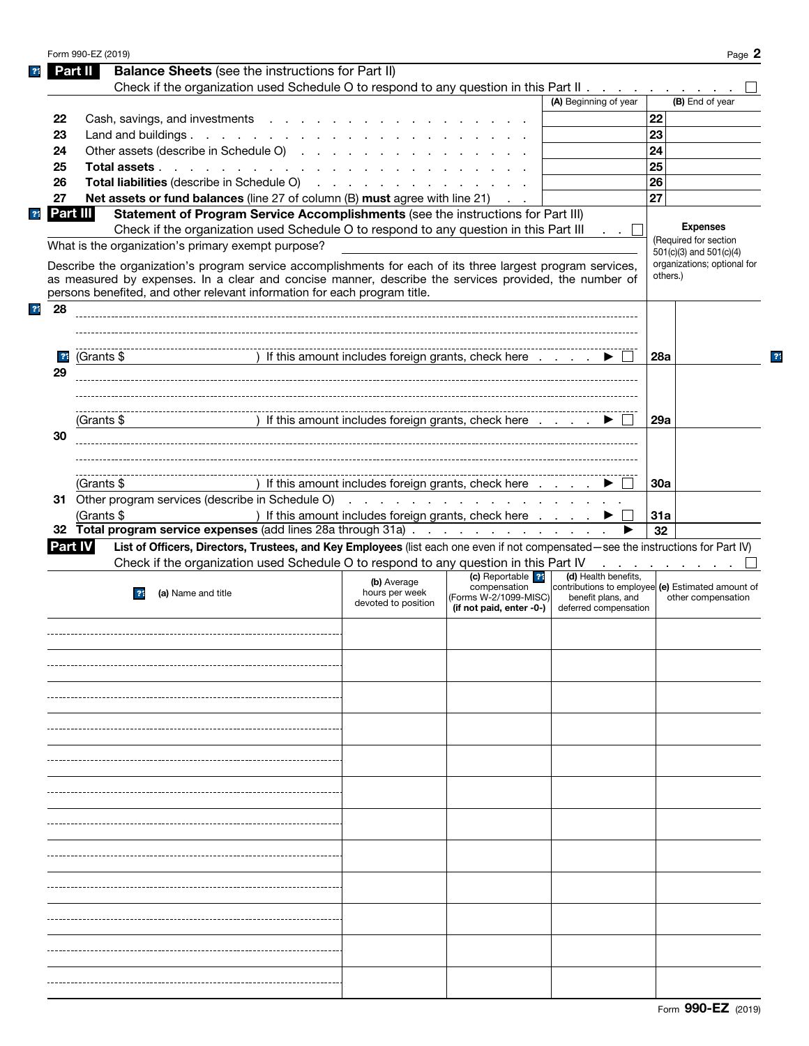|                | Form 990-EZ (2019) |                                                                                                                                   |                                                      |                                                      |                       | Page 2                                            |              |
|----------------|--------------------|-----------------------------------------------------------------------------------------------------------------------------------|------------------------------------------------------|------------------------------------------------------|-----------------------|---------------------------------------------------|--------------|
|                | Part II            | <b>Balance Sheets</b> (see the instructions for Part II)                                                                          |                                                      |                                                      |                       |                                                   |              |
|                |                    | Check if the organization used Schedule O to respond to any question in this Part II                                              |                                                      |                                                      |                       |                                                   |              |
|                |                    |                                                                                                                                   |                                                      |                                                      | (A) Beginning of year | (B) End of year                                   |              |
| 22             |                    | Cash, savings, and investments                                                                                                    |                                                      |                                                      |                       | 22                                                |              |
| 23             |                    | Land and buildings.                                                                                                               |                                                      |                                                      |                       | 23                                                |              |
| 24             |                    | Other assets (describe in Schedule O)                                                                                             |                                                      |                                                      |                       | 24                                                |              |
| 25             |                    | Total assets                                                                                                                      |                                                      |                                                      |                       | 25                                                |              |
|                |                    | Total liabilities (describe in Schedule O)                                                                                        |                                                      |                                                      |                       | 26                                                |              |
| 26             |                    |                                                                                                                                   |                                                      |                                                      |                       |                                                   |              |
| 27             |                    | Net assets or fund balances (line 27 of column (B) must agree with line 21)                                                       |                                                      |                                                      |                       | 27                                                |              |
| Part III       |                    | Statement of Program Service Accomplishments (see the instructions for Part III)                                                  |                                                      |                                                      |                       | <b>Expenses</b>                                   |              |
|                |                    | Check if the organization used Schedule O to respond to any question in this Part III                                             |                                                      |                                                      |                       | (Required for section                             |              |
|                |                    | What is the organization's primary exempt purpose?                                                                                |                                                      |                                                      |                       | $501(c)(3)$ and $501(c)(4)$                       |              |
|                |                    | Describe the organization's program service accomplishments for each of its three largest program services,                       |                                                      |                                                      |                       | organizations; optional for                       |              |
|                |                    | as measured by expenses. In a clear and concise manner, describe the services provided, the number of                             |                                                      |                                                      |                       | others.)                                          |              |
|                |                    | persons benefited, and other relevant information for each program title.                                                         |                                                      |                                                      |                       |                                                   |              |
| 28             |                    |                                                                                                                                   |                                                      |                                                      |                       |                                                   |              |
|                |                    |                                                                                                                                   |                                                      |                                                      |                       |                                                   |              |
|                |                    |                                                                                                                                   |                                                      |                                                      |                       |                                                   |              |
| $\overline{?}$ | (Grants \$         |                                                                                                                                   |                                                      | ) If this amount includes foreign grants, check here |                       | 28a                                               | $\mathbf{P}$ |
| 29             |                    |                                                                                                                                   |                                                      |                                                      |                       |                                                   |              |
|                |                    |                                                                                                                                   |                                                      |                                                      |                       |                                                   |              |
|                |                    |                                                                                                                                   |                                                      |                                                      |                       |                                                   |              |
|                | (Grants \$         |                                                                                                                                   |                                                      | ) If this amount includes foreign grants, check here |                       | 29a                                               |              |
| 30             |                    |                                                                                                                                   |                                                      |                                                      |                       |                                                   |              |
|                |                    |                                                                                                                                   |                                                      |                                                      |                       |                                                   |              |
|                |                    |                                                                                                                                   |                                                      |                                                      |                       |                                                   |              |
|                | (Grants \$         |                                                                                                                                   |                                                      | ) If this amount includes foreign grants, check here |                       | 30a                                               |              |
|                |                    |                                                                                                                                   |                                                      |                                                      |                       |                                                   |              |
|                |                    |                                                                                                                                   |                                                      |                                                      |                       | 31a                                               |              |
|                |                    |                                                                                                                                   |                                                      |                                                      |                       |                                                   |              |
|                | (Grants \$         |                                                                                                                                   | ) If this amount includes foreign grants, check here |                                                      |                       |                                                   |              |
|                |                    | 32 Total program service expenses (add lines 28a through 31a)                                                                     |                                                      |                                                      |                       | 32                                                |              |
| <b>Part IV</b> |                    | List of Officers, Directors, Trustees, and Key Employees (list each one even if not compensated—see the instructions for Part IV) |                                                      |                                                      |                       |                                                   |              |
|                |                    | Check if the organization used Schedule O to respond to any question in this Part IV                                              |                                                      |                                                      |                       | and a state of the state of the state of          |              |
|                |                    |                                                                                                                                   | (b) Average                                          | (c) Reportable ??<br>compensation                    | (d) Health benefits,  | contributions to employee (e) Estimated amount of |              |
|                |                    | (a) Name and title<br>$\overline{3}$                                                                                              | hours per week<br>devoted to position                | (Forms W-2/1099-MISC)                                | benefit plans, and    | other compensation                                |              |
|                |                    |                                                                                                                                   |                                                      | (if not paid, enter -0-)                             | deferred compensation |                                                   |              |
|                |                    |                                                                                                                                   |                                                      |                                                      |                       |                                                   |              |
|                |                    |                                                                                                                                   |                                                      |                                                      |                       |                                                   |              |
|                |                    |                                                                                                                                   |                                                      |                                                      |                       |                                                   |              |
|                |                    |                                                                                                                                   |                                                      |                                                      |                       |                                                   |              |
|                |                    |                                                                                                                                   |                                                      |                                                      |                       |                                                   |              |
|                |                    |                                                                                                                                   |                                                      |                                                      |                       |                                                   |              |
|                |                    |                                                                                                                                   |                                                      |                                                      |                       |                                                   |              |
|                |                    |                                                                                                                                   |                                                      |                                                      |                       |                                                   |              |
|                |                    |                                                                                                                                   |                                                      |                                                      |                       |                                                   |              |
|                |                    |                                                                                                                                   |                                                      |                                                      |                       |                                                   |              |
|                |                    |                                                                                                                                   |                                                      |                                                      |                       |                                                   |              |
|                |                    |                                                                                                                                   |                                                      |                                                      |                       |                                                   |              |
|                |                    |                                                                                                                                   |                                                      |                                                      |                       |                                                   |              |
|                |                    |                                                                                                                                   |                                                      |                                                      |                       |                                                   |              |
|                |                    |                                                                                                                                   |                                                      |                                                      |                       |                                                   |              |
|                |                    |                                                                                                                                   |                                                      |                                                      |                       |                                                   |              |
|                |                    |                                                                                                                                   |                                                      |                                                      |                       |                                                   |              |
|                |                    |                                                                                                                                   |                                                      |                                                      |                       |                                                   |              |
|                |                    |                                                                                                                                   |                                                      |                                                      |                       |                                                   |              |
|                |                    |                                                                                                                                   |                                                      |                                                      |                       |                                                   |              |
|                |                    |                                                                                                                                   |                                                      |                                                      |                       |                                                   |              |
|                |                    |                                                                                                                                   |                                                      |                                                      |                       |                                                   |              |
|                |                    |                                                                                                                                   |                                                      |                                                      |                       |                                                   |              |
|                |                    |                                                                                                                                   |                                                      |                                                      |                       |                                                   |              |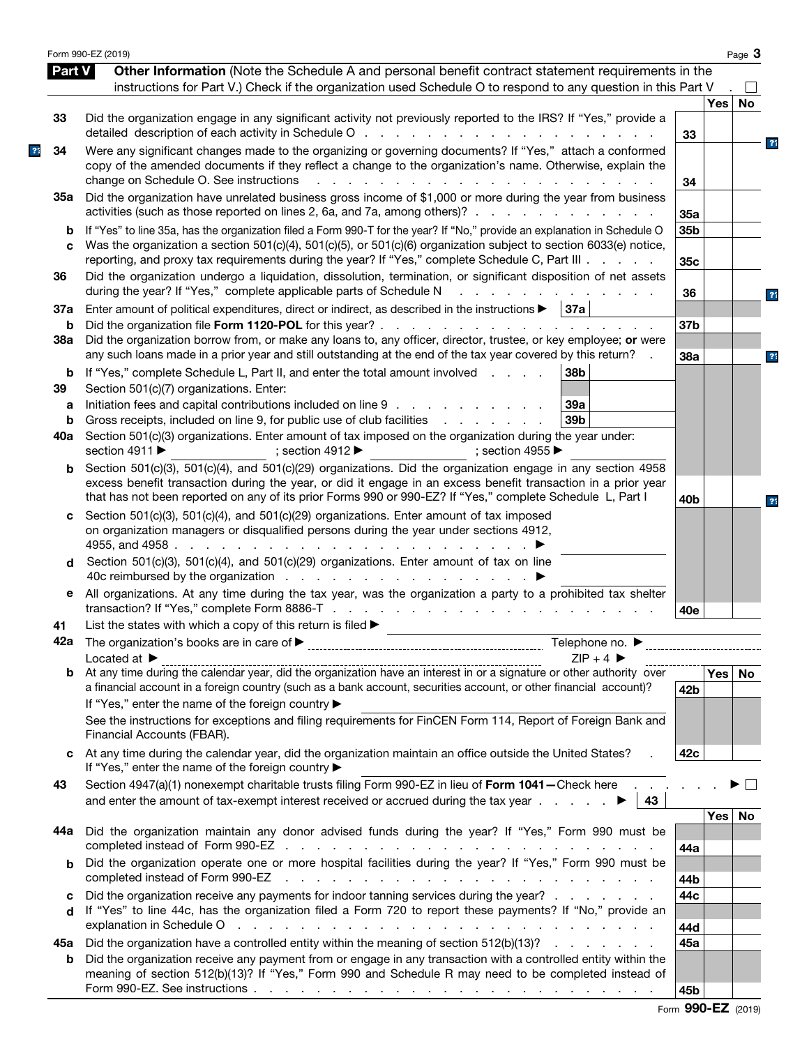|               | Form 990-EZ (2019)                                                                                                                                                                                                                                                                                                                        |                 |            | Page 3    |                |
|---------------|-------------------------------------------------------------------------------------------------------------------------------------------------------------------------------------------------------------------------------------------------------------------------------------------------------------------------------------------|-----------------|------------|-----------|----------------|
| <b>Part V</b> | Other Information (Note the Schedule A and personal benefit contract statement requirements in the<br>instructions for Part V.) Check if the organization used Schedule O to respond to any question in this Part V                                                                                                                       |                 |            | $\perp$   |                |
|               |                                                                                                                                                                                                                                                                                                                                           |                 | <b>Yes</b> | <b>No</b> |                |
| 33            | Did the organization engage in any significant activity not previously reported to the IRS? If "Yes," provide a                                                                                                                                                                                                                           | 33              |            |           |                |
| 34            | Were any significant changes made to the organizing or governing documents? If "Yes," attach a conformed<br>copy of the amended documents if they reflect a change to the organization's name. Otherwise, explain the<br>change on Schedule O. See instructions<br>and the control of<br>$\mathbf{L} = \mathbf{L} \times \mathbf{L}$      |                 |            |           | $\overline{?}$ |
| 35а           | Did the organization have unrelated business gross income of \$1,000 or more during the year from business<br>activities (such as those reported on lines 2, 6a, and 7a, among others)?                                                                                                                                                   | 34<br>35a       |            |           |                |
| b<br>C        | If "Yes" to line 35a, has the organization filed a Form 990-T for the year? If "No," provide an explanation in Schedule O<br>Was the organization a section 501(c)(4), 501(c)(5), or 501(c)(6) organization subject to section 6033(e) notice,                                                                                            | 35b             |            |           |                |
| 36            | reporting, and proxy tax requirements during the year? If "Yes," complete Schedule C, Part III.<br>Did the organization undergo a liquidation, dissolution, termination, or significant disposition of net assets<br>during the year? If "Yes," complete applicable parts of Schedule N                                                   | 35c<br>36       |            |           |                |
| 37a           | Enter amount of political expenditures, direct or indirect, as described in the instructions $\blacktriangleright$   37a                                                                                                                                                                                                                  |                 |            |           | $\overline{?}$ |
| b<br>38a      | Did the organization borrow from, or make any loans to, any officer, director, trustee, or key employee; or were<br>any such loans made in a prior year and still outstanding at the end of the tax year covered by this return?                                                                                                          | 37b             |            |           |                |
| b<br>39       | If "Yes," complete Schedule L, Part II, and enter the total amount involved<br>38b<br>Section 501(c)(7) organizations. Enter:                                                                                                                                                                                                             | 38a             |            |           | $\overline{3}$ |
| а<br>b        | Initiation fees and capital contributions included on line 9<br>39a<br>Gross receipts, included on line 9, for public use of club facilities<br>39 <sub>b</sub><br>and the company of the company of                                                                                                                                      |                 |            |           |                |
| 40a           | Section 501(c)(3) organizations. Enter amount of tax imposed on the organization during the year under:<br>section 4911 ▶<br>; section 4955 $\blacktriangleright$<br>: section 4912 $\blacktriangleright$                                                                                                                                 |                 |            |           |                |
| b             | Section 501(c)(3), 501(c)(4), and 501(c)(29) organizations. Did the organization engage in any section 4958<br>excess benefit transaction during the year, or did it engage in an excess benefit transaction in a prior year<br>that has not been reported on any of its prior Forms 990 or 990-EZ? If "Yes," complete Schedule L, Part I | 40 <sub>b</sub> |            |           |                |
| C             | Section 501(c)(3), 501(c)(4), and 501(c)(29) organizations. Enter amount of tax imposed<br>on organization managers or disqualified persons during the year under sections 4912,<br>4955, and 4958 $\ldots$ $\ldots$ $\ldots$ $\ldots$ $\ldots$ $\ldots$ $\ldots$                                                                         |                 |            |           |                |
| d             | Section 501(c)(3), 501(c)(4), and 501(c)(29) organizations. Enter amount of tax on line                                                                                                                                                                                                                                                   |                 |            |           |                |
| е             | All organizations. At any time during the tax year, was the organization a party to a prohibited tax shelter                                                                                                                                                                                                                              | 40e             |            |           |                |
| 41            | List the states with which a copy of this return is filed $\blacktriangleright$                                                                                                                                                                                                                                                           |                 |            |           |                |
|               | Telephone no. $\blacktriangleright$<br>$7IP + 4$                                                                                                                                                                                                                                                                                          |                 |            |           |                |
|               | Located at $\blacktriangleright$<br>a financial account in a foreign country (such as a bank account, securities account, or other financial account)?                                                                                                                                                                                    | 42b             | Yes No     |           |                |
|               | If "Yes," enter the name of the foreign country ▶<br>See the instructions for exceptions and filing requirements for FinCEN Form 114, Report of Foreign Bank and<br>Financial Accounts (FBAR).                                                                                                                                            |                 |            |           |                |
| C             | At any time during the calendar year, did the organization maintain an office outside the United States?<br>If "Yes," enter the name of the foreign country ▶                                                                                                                                                                             | 42c             |            |           |                |
| 43            | Section 4947(a)(1) nonexempt charitable trusts filing Form 990-EZ in lieu of Form 1041-Check here<br>43                                                                                                                                                                                                                                   |                 |            |           |                |
| 44a           | Did the organization maintain any donor advised funds during the year? If "Yes," Form 990 must be                                                                                                                                                                                                                                         | 44a             | Yes   No   |           |                |
| b             | Did the organization operate one or more hospital facilities during the year? If "Yes," Form 990 must be<br>completed instead of Form 990-EZ<br>the contract of the contract of the contract of the contract of the contract of the contract of                                                                                           | 44b             |            |           |                |
| C<br>d        | Did the organization receive any payments for indoor tanning services during the year?<br>If "Yes" to line 44c, has the organization filed a Form 720 to report these payments? If "No," provide an                                                                                                                                       | 44c<br>44d      |            |           |                |
| 45а<br>b      | Did the organization have a controlled entity within the meaning of section $512(b)(13)?$<br>Did the organization receive any payment from or engage in any transaction with a controlled entity within the                                                                                                                               | 45a             |            |           |                |
|               | meaning of section 512(b)(13)? If "Yes," Form 990 and Schedule R may need to be completed instead of<br>Form 990-EZ. See instructions $\ldots$ $\ldots$ $\ldots$ $\ldots$ $\ldots$ $\ldots$ $\ldots$ $\ldots$ $\ldots$ $\ldots$ $\ldots$ $\ldots$                                                                                         | 45b             |            |           |                |

|  | Form 990-EZ (2019) |  |
|--|--------------------|--|
|--|--------------------|--|